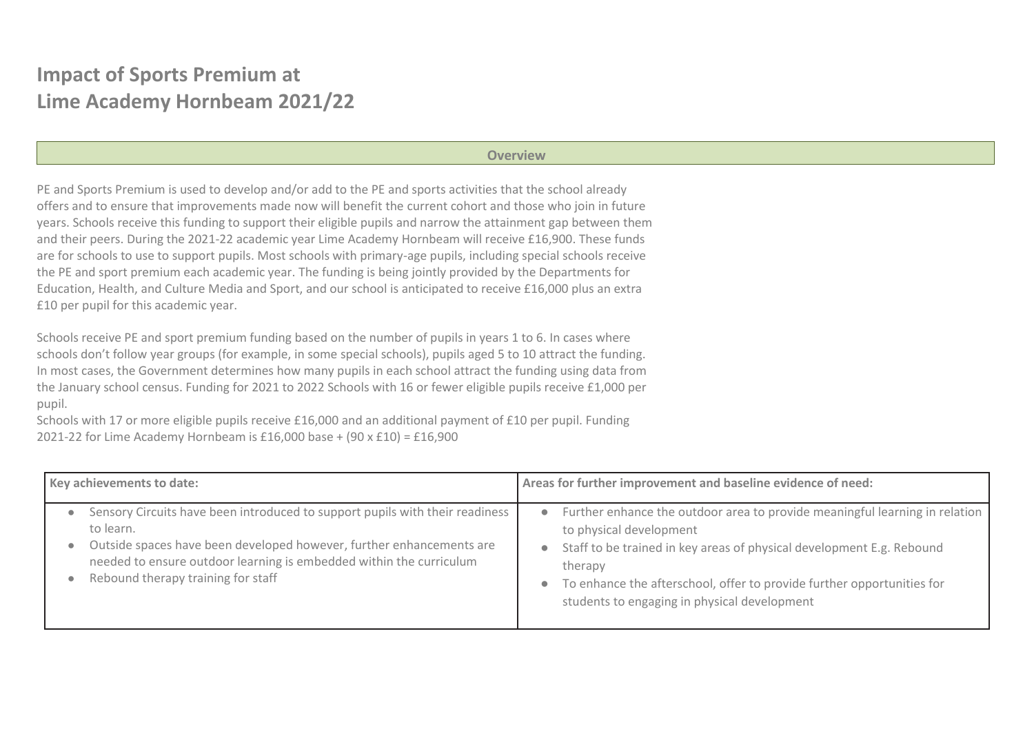## **Impact of Sports Premium at Lime Academy Hornbeam 2021/22**

## **Overview**

PE and Sports Premium is used to develop and/or add to the PE and sports activities that the school already offers and to ensure that improvements made now will benefit the current cohort and those who join in future years. Schools receive this funding to support their eligible pupils and narrow the attainment gap between them and their peers. During the 2021-22 academic year Lime Academy Hornbeam will receive £16,900. These funds are for schools to use to support pupils. Most schools with primary-age pupils, including special schools receive the PE and sport premium each academic year. The funding is being jointly provided by the Departments for Education, Health, and Culture Media and Sport, and our school is anticipated to receive £16,000 plus an extra £10 per pupil for this academic year.

Schools receive PE and sport premium funding based on the number of pupils in years 1 to 6. In cases where schools don't follow year groups (for example, in some special schools), pupils aged 5 to 10 attract the funding. In most cases, the Government determines how many pupils in each school attract the funding using data from the January school census. Funding for 2021 to 2022 Schools with 16 or fewer eligible pupils receive £1,000 per pupil.

Schools with 17 or more eligible pupils receive £16,000 and an additional payment of £10 per pupil. Funding 2021-22 for Lime Academy Hornbeam is £16,000 base + (90 x £10) = £16,900

| Key achievements to date:                                                                                                                                                                                                                                                                   | Areas for further improvement and baseline evidence of need:                                                                                                                                                                                                                                                                                   |
|---------------------------------------------------------------------------------------------------------------------------------------------------------------------------------------------------------------------------------------------------------------------------------------------|------------------------------------------------------------------------------------------------------------------------------------------------------------------------------------------------------------------------------------------------------------------------------------------------------------------------------------------------|
| Sensory Circuits have been introduced to support pupils with their readiness<br>to learn.<br>Outside spaces have been developed however, further enhancements are<br>$\bullet$<br>needed to ensure outdoor learning is embedded within the curriculum<br>Rebound therapy training for staff | Further enhance the outdoor area to provide meaningful learning in relation<br>$\bullet$<br>to physical development<br>Staff to be trained in key areas of physical development E.g. Rebound<br>therapy<br>To enhance the afterschool, offer to provide further opportunities for<br>$\bullet$<br>students to engaging in physical development |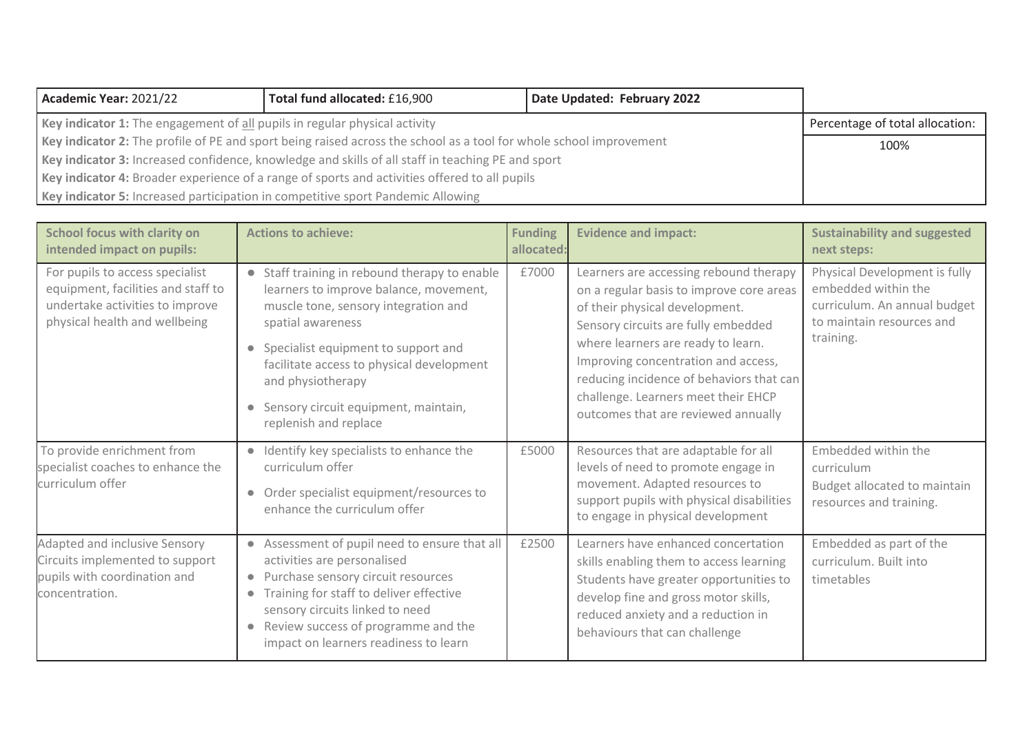| Academic Year: 2021/22                                                                                             | Total fund allocated: £16,900   | Date Updated: February 2022 |  |
|--------------------------------------------------------------------------------------------------------------------|---------------------------------|-----------------------------|--|
| Key indicator 1: The engagement of all pupils in regular physical activity                                         | Percentage of total allocation: |                             |  |
| Key indicator 2: The profile of PE and sport being raised across the school as a tool for whole school improvement | 100%                            |                             |  |
| Key indicator 3: Increased confidence, knowledge and skills of all staff in teaching PE and sport                  |                                 |                             |  |
| Key indicator 4: Broader experience of a range of sports and activities offered to all pupils                      |                                 |                             |  |
| Key indicator 5: Increased participation in competitive sport Pandemic Allowing                                    |                                 |                             |  |

| <b>School focus with clarity on</b><br>intended impact on pupils:                                                                         | <b>Actions to achieve:</b>                                                                                                                                                                                                                                                                                                                  | <b>Funding</b><br>allocated: | <b>Evidence and impact:</b>                                                                                                                                                                                                                                                                                                                                        | <b>Sustainability and suggested</b><br>next steps:                                                                             |
|-------------------------------------------------------------------------------------------------------------------------------------------|---------------------------------------------------------------------------------------------------------------------------------------------------------------------------------------------------------------------------------------------------------------------------------------------------------------------------------------------|------------------------------|--------------------------------------------------------------------------------------------------------------------------------------------------------------------------------------------------------------------------------------------------------------------------------------------------------------------------------------------------------------------|--------------------------------------------------------------------------------------------------------------------------------|
| For pupils to access specialist<br>equipment, facilities and staff to<br>undertake activities to improve<br>physical health and wellbeing | • Staff training in rebound therapy to enable<br>learners to improve balance, movement,<br>muscle tone, sensory integration and<br>spatial awareness<br>Specialist equipment to support and<br>facilitate access to physical development<br>and physiotherapy<br>Sensory circuit equipment, maintain,<br>$\bullet$<br>replenish and replace | £7000                        | Learners are accessing rebound therapy<br>on a regular basis to improve core areas<br>of their physical development.<br>Sensory circuits are fully embedded<br>where learners are ready to learn.<br>Improving concentration and access,<br>reducing incidence of behaviors that can<br>challenge. Learners meet their EHCP<br>outcomes that are reviewed annually | Physical Development is fully<br>embedded within the<br>curriculum. An annual budget<br>to maintain resources and<br>training. |
| To provide enrichment from<br>specialist coaches to enhance the<br>curriculum offer                                                       | • Identify key specialists to enhance the<br>curriculum offer<br>Order specialist equipment/resources to<br>$\bullet$<br>enhance the curriculum offer                                                                                                                                                                                       | £5000                        | Resources that are adaptable for all<br>levels of need to promote engage in<br>movement. Adapted resources to<br>support pupils with physical disabilities<br>to engage in physical development                                                                                                                                                                    | Embedded within the<br>curriculum<br>Budget allocated to maintain<br>resources and training.                                   |
| Adapted and inclusive Sensory<br>Circuits implemented to support<br>pupils with coordination and<br>concentration.                        | • Assessment of pupil need to ensure that all<br>activities are personalised<br>Purchase sensory circuit resources<br>$\bullet$<br>Training for staff to deliver effective<br>$\bullet$<br>sensory circuits linked to need<br>Review success of programme and the<br>$\bullet$<br>impact on learners readiness to learn                     | £2500                        | Learners have enhanced concertation<br>skills enabling them to access learning<br>Students have greater opportunities to<br>develop fine and gross motor skills,<br>reduced anxiety and a reduction in<br>behaviours that can challenge                                                                                                                            | Embedded as part of the<br>curriculum. Built into<br>timetables                                                                |